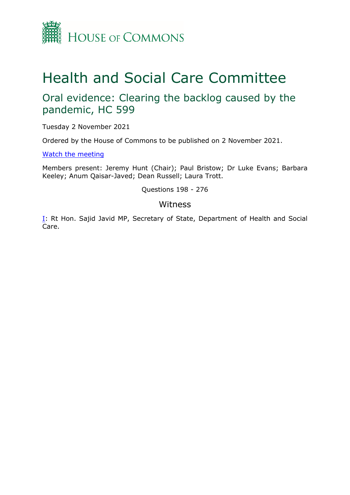

# Health and Social Care Committee

## Oral evidence: Clearing the backlog caused by the pandemic, HC 599

Tuesday 2 November 2021

Ordered by the House of Commons to be published on 2 November 2021.

[Watch](https://parliamentlive.tv/Event/Index/f6288312-65f3-4618-9ac6-5f9b7914f082) [the](https://parliamentlive.tv/Event/Index/f6288312-65f3-4618-9ac6-5f9b7914f082) [meeting](https://parliamentlive.tv/Event/Index/f6288312-65f3-4618-9ac6-5f9b7914f082)

Members present: Jeremy Hunt (Chair); Paul Bristow; Dr Luke Evans; Barbara Keeley; Anum Qaisar-Javed; Dean Russell; Laura Trott.

Questions 198 - 276

## Witness

[I:](#page-1-0) Rt Hon. Sajid Javid MP, Secretary of State, Department of Health and Social Care.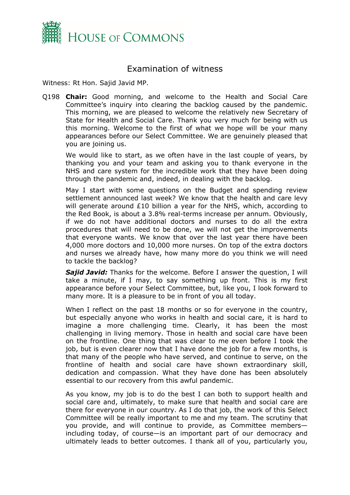

## <span id="page-1-0"></span>Examination of witness

Witness: Rt Hon. Sajid Javid MP.

Q198 **Chair:** Good morning, and welcome to the Health and Social Care Committee's inquiry into clearing the backlog caused by the pandemic. This morning, we are pleased to welcome the relatively new Secretary of State for Health and Social Care. Thank you very much for being with us this morning. Welcome to the first of what we hope will be your many appearances before our Select Committee. We are genuinely pleased that you are joining us.

We would like to start, as we often have in the last couple of years, by thanking you and your team and asking you to thank everyone in the NHS and care system for the incredible work that they have been doing through the pandemic and, indeed, in dealing with the backlog.

May I start with some questions on the Budget and spending review settlement announced last week? We know that the health and care levy will generate around £10 billion a year for the NHS, which, according to the Red Book, is about a 3.8% real-terms increase per annum. Obviously, if we do not have additional doctors and nurses to do all the extra procedures that will need to be done, we will not get the improvements that everyone wants. We know that over the last year there have been 4,000 more doctors and 10,000 more nurses. On top of the extra doctors and nurses we already have, how many more do you think we will need to tackle the backlog?

*Sajid Javid:* Thanks for the welcome. Before I answer the question, I will take a minute, if I may, to say something up front. This is my first appearance before your Select Committee, but, like you, I look forward to many more. It is a pleasure to be in front of you all today.

When I reflect on the past 18 months or so for everyone in the country, but especially anyone who works in health and social care, it is hard to imagine a more challenging time. Clearly, it has been the most challenging in living memory. Those in health and social care have been on the frontline. One thing that was clear to me even before I took the job, but is even clearer now that I have done the job for a few months, is that many of the people who have served, and continue to serve, on the frontline of health and social care have shown extraordinary skill, dedication and compassion. What they have done has been absolutely essential to our recovery from this awful pandemic.

As you know, my job is to do the best I can both to support health and social care and, ultimately, to make sure that health and social care are there for everyone in our country. As I do that job, the work of this Select Committee will be really important to me and my team. The scrutiny that you provide, and will continue to provide, as Committee members including today, of course—is an important part of our democracy and ultimately leads to better outcomes. I thank all of you, particularly you,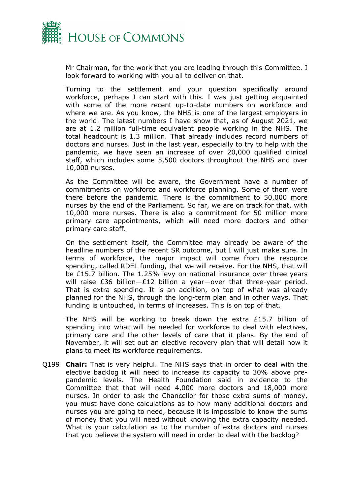

Mr Chairman, for the work that you are leading through this Committee. I look forward to working with you all to deliver on that.

Turning to the settlement and your question specifically around workforce, perhaps I can start with this. I was just getting acquainted with some of the more recent up-to-date numbers on workforce and where we are. As you know, the NHS is one of the largest employers in the world. The latest numbers I have show that, as of August 2021, we are at 1.2 million full-time equivalent people working in the NHS. The total headcount is 1.3 million. That already includes record numbers of doctors and nurses. Just in the last year, especially to try to help with the pandemic, we have seen an increase of over 20,000 qualified clinical staff, which includes some 5,500 doctors throughout the NHS and over 10,000 nurses.

As the Committee will be aware, the Government have a number of commitments on workforce and workforce planning. Some of them were there before the pandemic. There is the commitment to 50,000 more nurses by the end of the Parliament. So far, we are on track for that, with 10,000 more nurses. There is also a commitment for 50 million more primary care appointments, which will need more doctors and other primary care staff.

On the settlement itself, the Committee may already be aware of the headline numbers of the recent SR outcome, but I will just make sure. In terms of workforce, the major impact will come from the resource spending, called RDEL funding, that we will receive. For the NHS, that will be £15.7 billion. The 1.25% levy on national insurance over three years will raise £36 billion—£12 billion a year—over that three-year period. That is extra spending. It is an addition, on top of what was already planned for the NHS, through the long-term plan and in other ways. That funding is untouched, in terms of increases. This is on top of that.

The NHS will be working to break down the extra £15.7 billion of spending into what will be needed for workforce to deal with electives, primary care and the other levels of care that it plans. By the end of November, it will set out an elective recovery plan that will detail how it plans to meet its workforce requirements.

Q199 **Chair:** That is very helpful. The NHS says that in order to deal with the elective backlog it will need to increase its capacity to 30% above prepandemic levels. The Health Foundation said in evidence to the Committee that that will need 4,000 more doctors and 18,000 more nurses. In order to ask the Chancellor for those extra sums of money, you must have done calculations as to how many additional doctors and nurses you are going to need, because it is impossible to know the sums of money that you will need without knowing the extra capacity needed. What is your calculation as to the number of extra doctors and nurses that you believe the system will need in order to deal with the backlog?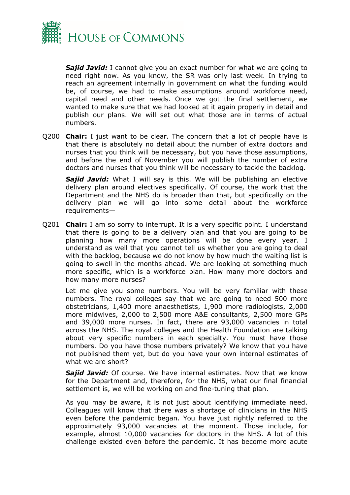

*Sajid Javid:* I cannot give you an exact number for what we are going to need right now. As you know, the SR was only last week. In trying to reach an agreement internally in government on what the funding would be, of course, we had to make assumptions around workforce need, capital need and other needs. Once we got the final settlement, we wanted to make sure that we had looked at it again properly in detail and publish our plans. We will set out what those are in terms of actual numbers.

Q200 **Chair:** I just want to be clear. The concern that a lot of people have is that there is absolutely no detail about the number of extra doctors and nurses that you think will be necessary, but you have those assumptions, and before the end of November you will publish the number of extra doctors and nurses that you think will be necessary to tackle the backlog.

*Sajid Javid:* What I will say is this. We will be publishing an elective delivery plan around electives specifically. Of course, the work that the Department and the NHS do is broader than that, but specifically on the delivery plan we will go into some detail about the workforce requirements—

Q201 **Chair:** I am so sorry to interrupt. It is a very specific point. I understand that there is going to be a delivery plan and that you are going to be planning how many more operations will be done every year. I understand as well that you cannot tell us whether you are going to deal with the backlog, because we do not know by how much the waiting list is going to swell in the months ahead. We are looking at something much more specific, which is a workforce plan. How many more doctors and how many more nurses?

Let me give you some numbers. You will be very familiar with these numbers. The royal colleges say that we are going to need 500 more obstetricians, 1,400 more anaesthetists, 1,900 more radiologists, 2,000 more midwives, 2,000 to 2,500 more A&E consultants, 2,500 more GPs and 39,000 more nurses. In fact, there are 93,000 vacancies in total across the NHS. The royal colleges and the Health Foundation are talking about very specific numbers in each specialty. You must have those numbers. Do you have those numbers privately? We know that you have not published them yet, but do you have your own internal estimates of what we are short?

*Sajid Javid:* Of course. We have internal estimates. Now that we know for the Department and, therefore, for the NHS, what our final financial settlement is, we will be working on and fine-tuning that plan.

As you may be aware, it is not just about identifying immediate need. Colleagues will know that there was a shortage of clinicians in the NHS even before the pandemic began. You have just rightly referred to the approximately 93,000 vacancies at the moment. Those include, for example, almost 10,000 vacancies for doctors in the NHS. A lot of this challenge existed even before the pandemic. It has become more acute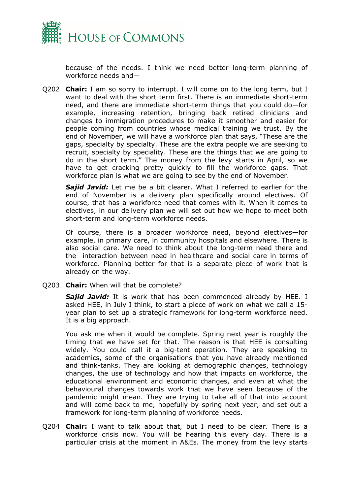

because of the needs. I think we need better long-term planning of workforce needs and—

Q202 **Chair:** I am so sorry to interrupt. I will come on to the long term, but I want to deal with the short term first. There is an immediate short-term need, and there are immediate short-term things that you could do—for example, increasing retention, bringing back retired clinicians and changes to immigration procedures to make it smoother and easier for people coming from countries whose medical training we trust. By the end of November, we will have a workforce plan that says, "These are the gaps, specialty by specialty. These are the extra people we are seeking to recruit, specialty by speciality. These are the things that we are going to do in the short term." The money from the levy starts in April, so we have to get cracking pretty quickly to fill the workforce gaps. That workforce plan is what we are going to see by the end of November.

*Sajid Javid:* Let me be a bit clearer. What I referred to earlier for the end of November is a delivery plan specifically around electives. Of course, that has a workforce need that comes with it. When it comes to electives, in our delivery plan we will set out how we hope to meet both short-term and long-term workforce needs.

Of course, there is a broader workforce need, beyond electives—for example, in primary care, in community hospitals and elsewhere. There is also social care. We need to think about the long-term need there and the interaction between need in healthcare and social care in terms of workforce. Planning better for that is a separate piece of work that is already on the way.

Q203 **Chair:** When will that be complete?

*Sajid Javid:* It is work that has been commenced already by HEE. I asked HEE, in July I think, to start a piece of work on what we call a 15 year plan to set up a strategic framework for long-term workforce need. It is a big approach.

You ask me when it would be complete. Spring next year is roughly the timing that we have set for that. The reason is that HEE is consulting widely. You could call it a big-tent operation. They are speaking to academics, some of the organisations that you have already mentioned and think-tanks. They are looking at demographic changes, technology changes, the use of technology and how that impacts on workforce, the educational environment and economic changes, and even at what the behavioural changes towards work that we have seen because of the pandemic might mean. They are trying to take all of that into account and will come back to me, hopefully by spring next year, and set out a framework for long-term planning of workforce needs.

Q204 **Chair:** I want to talk about that, but I need to be clear. There is a workforce crisis now. You will be hearing this every day. There is a particular crisis at the moment in A&Es. The money from the levy starts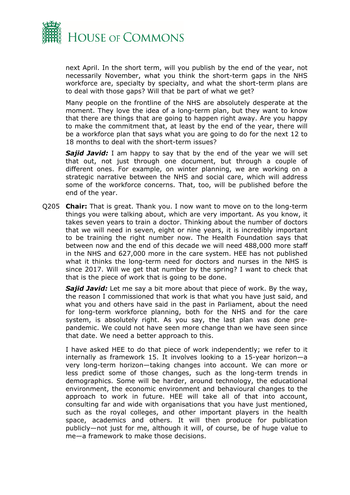

next April. In the short term, will you publish by the end of the year, not necessarily November, what you think the short-term gaps in the NHS workforce are, specialty by specialty, and what the short-term plans are to deal with those gaps? Will that be part of what we get?

Many people on the frontline of the NHS are absolutely desperate at the moment. They love the idea of a long-term plan, but they want to know that there are things that are going to happen right away. Are you happy to make the commitment that, at least by the end of the year, there will be a workforce plan that says what you are going to do for the next 12 to 18 months to deal with the short-term issues?

**Sajid Javid:** I am happy to say that by the end of the year we will set that out, not just through one document, but through a couple of different ones. For example, on winter planning, we are working on a strategic narrative between the NHS and social care, which will address some of the workforce concerns. That, too, will be published before the end of the year.

Q205 **Chair:** That is great. Thank you. I now want to move on to the long-term things you were talking about, which are very important. As you know, it takes seven years to train a doctor. Thinking about the number of doctors that we will need in seven, eight or nine years, it is incredibly important to be training the right number now. The Health Foundation says that between now and the end of this decade we will need 488,000 more staff in the NHS and 627,000 more in the care system. HEE has not published what it thinks the long-term need for doctors and nurses in the NHS is since 2017. Will we get that number by the spring? I want to check that that is the piece of work that is going to be done.

*Sajid Javid:* Let me say a bit more about that piece of work. By the way, the reason I commissioned that work is that what you have just said, and what you and others have said in the past in Parliament, about the need for long-term workforce planning, both for the NHS and for the care system, is absolutely right. As you say, the last plan was done prepandemic. We could not have seen more change than we have seen since that date. We need a better approach to this.

I have asked HEE to do that piece of work independently; we refer to it internally as framework 15. It involves looking to a 15-year horizon—a very long-term horizon—taking changes into account. We can more or less predict some of those changes, such as the long-term trends in demographics. Some will be harder, around technology, the educational environment, the economic environment and behavioural changes to the approach to work in future. HEE will take all of that into account, consulting far and wide with organisations that you have just mentioned, such as the royal colleges, and other important players in the health space, academics and others. It will then produce for publication publicly—not just for me, although it will, of course, be of huge value to me—a framework to make those decisions.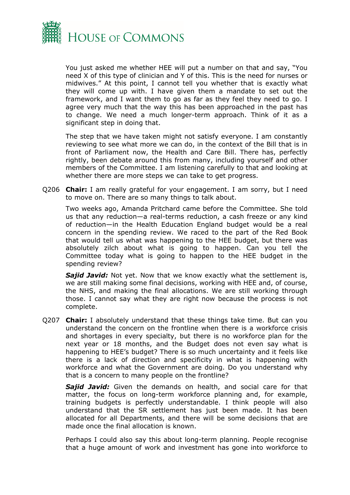

You just asked me whether HEE will put a number on that and say, "You need X of this type of clinician and Y of this. This is the need for nurses or midwives." At this point, I cannot tell you whether that is exactly what they will come up with. I have given them a mandate to set out the framework, and I want them to go as far as they feel they need to go. I agree very much that the way this has been approached in the past has to change. We need a much longer-term approach. Think of it as a significant step in doing that.

The step that we have taken might not satisfy everyone. I am constantly reviewing to see what more we can do, in the context of the Bill that is in front of Parliament now, the Health and Care Bill. There has, perfectly rightly, been debate around this from many, including yourself and other members of the Committee. I am listening carefully to that and looking at whether there are more steps we can take to get progress.

Q206 **Chair:** I am really grateful for your engagement. I am sorry, but I need to move on. There are so many things to talk about.

Two weeks ago, Amanda Pritchard came before the Committee. She told us that any reduction—a real-terms reduction, a cash freeze or any kind of reduction—in the Health Education England budget would be a real concern in the spending review. We raced to the part of the Red Book that would tell us what was happening to the HEE budget, but there was absolutely zilch about what is going to happen. Can you tell the Committee today what is going to happen to the HEE budget in the spending review?

*Sajid Javid:* Not yet. Now that we know exactly what the settlement is, we are still making some final decisions, working with HEE and, of course, the NHS, and making the final allocations. We are still working through those. I cannot say what they are right now because the process is not complete.

Q207 **Chair:** I absolutely understand that these things take time. But can you understand the concern on the frontline when there is a workforce crisis and shortages in every specialty, but there is no workforce plan for the next year or 18 months, and the Budget does not even say what is happening to HEE's budget? There is so much uncertainty and it feels like there is a lack of direction and specificity in what is happening with workforce and what the Government are doing. Do you understand why that is a concern to many people on the frontline?

*Sajid Javid:* Given the demands on health, and social care for that matter, the focus on long-term workforce planning and, for example, training budgets is perfectly understandable. I think people will also understand that the SR settlement has just been made. It has been allocated for all Departments, and there will be some decisions that are made once the final allocation is known.

Perhaps I could also say this about long-term planning. People recognise that a huge amount of work and investment has gone into workforce to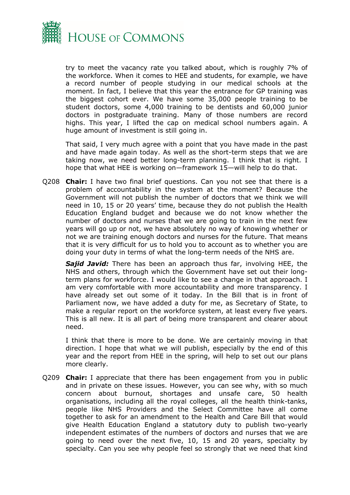

try to meet the vacancy rate you talked about, which is roughly 7% of the workforce. When it comes to HEE and students, for example, we have a record number of people studying in our medical schools at the moment. In fact, I believe that this year the entrance for GP training was the biggest cohort ever. We have some 35,000 people training to be student doctors, some 4,000 training to be dentists and 60,000 junior doctors in postgraduate training. Many of those numbers are record highs. This year, I lifted the cap on medical school numbers again. A huge amount of investment is still going in.

That said, I very much agree with a point that you have made in the past and have made again today. As well as the short-term steps that we are taking now, we need better long-term planning. I think that is right. I hope that what HEE is working on—framework 15—will help to do that.

Q208 **Chair:** I have two final brief questions. Can you not see that there is a problem of accountability in the system at the moment? Because the Government will not publish the number of doctors that we think we will need in 10, 15 or 20 years' time, because they do not publish the Health Education England budget and because we do not know whether the number of doctors and nurses that we are going to train in the next few years will go up or not, we have absolutely no way of knowing whether or not we are training enough doctors and nurses for the future. That means that it is very difficult for us to hold you to account as to whether you are doing your duty in terms of what the long-term needs of the NHS are.

*Sajid Javid:* There has been an approach thus far, involving HEE, the NHS and others, through which the Government have set out their longterm plans for workforce. I would like to see a change in that approach. I am very comfortable with more accountability and more transparency. I have already set out some of it today. In the Bill that is in front of Parliament now, we have added a duty for me, as Secretary of State, to make a regular report on the workforce system, at least every five years. This is all new. It is all part of being more transparent and clearer about need.

I think that there is more to be done. We are certainly moving in that direction. I hope that what we will publish, especially by the end of this year and the report from HEE in the spring, will help to set out our plans more clearly.

Q209 **Chair:** I appreciate that there has been engagement from you in public and in private on these issues. However, you can see why, with so much concern about burnout, shortages and unsafe care, 50 health organisations, including all the royal colleges, all the health think-tanks, people like NHS Providers and the Select Committee have all come together to ask for an amendment to the Health and Care Bill that would give Health Education England a statutory duty to publish two-yearly independent estimates of the numbers of doctors and nurses that we are going to need over the next five, 10, 15 and 20 years, specialty by specialty. Can you see why people feel so strongly that we need that kind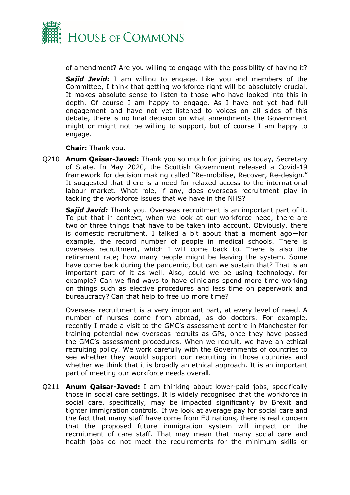

of amendment? Are you willing to engage with the possibility of having it?

*Sajid Javid:* I am willing to engage. Like you and members of the Committee, I think that getting workforce right will be absolutely crucial. It makes absolute sense to listen to those who have looked into this in depth. Of course I am happy to engage. As I have not yet had full engagement and have not yet listened to voices on all sides of this debate, there is no final decision on what amendments the Government might or might not be willing to support, but of course I am happy to engage.

**Chair:** Thank you.

Q210 **Anum Qaisar-Javed:** Thank you so much for joining us today, Secretary of State. In May 2020, the Scottish Government released a Covid-19 framework for decision making called "Re-mobilise, Recover, Re-design." It suggested that there is a need for relaxed access to the international labour market. What role, if any, does overseas recruitment play in tackling the workforce issues that we have in the NHS?

*Sajid Javid:* Thank you. Overseas recruitment is an important part of it. To put that in context, when we look at our workforce need, there are two or three things that have to be taken into account. Obviously, there is domestic recruitment. I talked a bit about that a moment ago—for example, the record number of people in medical schools. There is overseas recruitment, which I will come back to. There is also the retirement rate; how many people might be leaving the system. Some have come back during the pandemic, but can we sustain that? That is an important part of it as well. Also, could we be using technology, for example? Can we find ways to have clinicians spend more time working on things such as elective procedures and less time on paperwork and bureaucracy? Can that help to free up more time?

Overseas recruitment is a very important part, at every level of need. A number of nurses come from abroad, as do doctors. For example, recently I made a visit to the GMC's assessment centre in Manchester for training potential new overseas recruits as GPs, once they have passed the GMC's assessment procedures. When we recruit, we have an ethical recruiting policy. We work carefully with the Governments of countries to see whether they would support our recruiting in those countries and whether we think that it is broadly an ethical approach. It is an important part of meeting our workforce needs overall.

Q211 **Anum Qaisar-Javed:** I am thinking about lower-paid jobs, specifically those in social care settings. It is widely recognised that the workforce in social care, specifically, may be impacted significantly by Brexit and tighter immigration controls. If we look at average pay for social care and the fact that many staff have come from EU nations, there is real concern that the proposed future immigration system will impact on the recruitment of care staff. That may mean that many social care and health jobs do not meet the requirements for the minimum skills or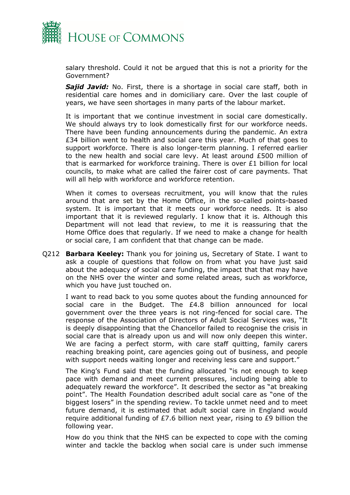

salary threshold. Could it not be argued that this is not a priority for the Government?

*Sajid Javid:* No. First, there is a shortage in social care staff, both in residential care homes and in domiciliary care. Over the last couple of years, we have seen shortages in many parts of the labour market.

It is important that we continue investment in social care domestically. We should always try to look domestically first for our workforce needs. There have been funding announcements during the pandemic. An extra £34 billion went to health and social care this year. Much of that goes to support workforce. There is also longer-term planning. I referred earlier to the new health and social care levy. At least around £500 million of that is earmarked for workforce training. There is over £1 billion for local councils, to make what are called the fairer cost of care payments. That will all help with workforce and workforce retention.

When it comes to overseas recruitment, you will know that the rules around that are set by the Home Office, in the so-called points-based system. It is important that it meets our workforce needs. It is also important that it is reviewed regularly. I know that it is. Although this Department will not lead that review, to me it is reassuring that the Home Office does that regularly. If we need to make a change for health or social care, I am confident that that change can be made.

Q212 **Barbara Keeley:** Thank you for joining us, Secretary of State. I want to ask a couple of questions that follow on from what you have just said about the adequacy of social care funding, the impact that that may have on the NHS over the winter and some related areas, such as workforce, which you have just touched on.

I want to read back to you some quotes about the funding announced for social care in the Budget. The £4.8 billion announced for local government over the three years is not ring-fenced for social care. The response of the Association of Directors of Adult Social Services was, "It is deeply disappointing that the Chancellor failed to recognise the crisis in social care that is already upon us and will now only deepen this winter. We are facing a perfect storm, with care staff quitting, family carers reaching breaking point, care agencies going out of business, and people with support needs waiting longer and receiving less care and support."

The King's Fund said that the funding allocated "is not enough to keep pace with demand and meet current pressures, including being able to adequately reward the workforce". It described the sector as "at breaking point". The Health Foundation described adult social care as "one of the biggest losers" in the spending review. To tackle unmet need and to meet future demand, it is estimated that adult social care in England would require additional funding of £7.6 billion next year, rising to £9 billion the following year.

How do you think that the NHS can be expected to cope with the coming winter and tackle the backlog when social care is under such immense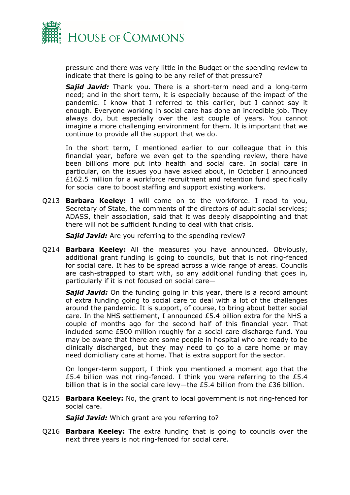

pressure and there was very little in the Budget or the spending review to indicate that there is going to be any relief of that pressure?

*Sajid Javid:* Thank you. There is a short-term need and a long-term need; and in the short term, it is especially because of the impact of the pandemic. I know that I referred to this earlier, but I cannot say it enough. Everyone working in social care has done an incredible job. They always do, but especially over the last couple of years. You cannot imagine a more challenging environment for them. It is important that we continue to provide all the support that we do.

In the short term, I mentioned earlier to our colleague that in this financial year, before we even get to the spending review, there have been billions more put into health and social care. In social care in particular, on the issues you have asked about, in October I announced £162.5 million for a workforce recruitment and retention fund specifically for social care to boost staffing and support existing workers.

Q213 **Barbara Keeley:** I will come on to the workforce. I read to you, Secretary of State, the comments of the directors of adult social services; ADASS, their association, said that it was deeply disappointing and that there will not be sufficient funding to deal with that crisis.

**Sajid Javid:** Are you referring to the spending review?

Q214 **Barbara Keeley:** All the measures you have announced. Obviously, additional grant funding is going to councils, but that is not ring-fenced for social care. It has to be spread across a wide range of areas. Councils are cash-strapped to start with, so any additional funding that goes in, particularly if it is not focused on social care—

**Sajid Javid:** On the funding going in this year, there is a record amount of extra funding going to social care to deal with a lot of the challenges around the pandemic. It is support, of course, to bring about better social care. In the NHS settlement, I announced £5.4 billion extra for the NHS a couple of months ago for the second half of this financial year. That included some £500 million roughly for a social care discharge fund. You may be aware that there are some people in hospital who are ready to be clinically discharged, but they may need to go to a care home or may need domiciliary care at home. That is extra support for the sector.

On longer-term support, I think you mentioned a moment ago that the £5.4 billion was not ring-fenced. I think you were referring to the £5.4 billion that is in the social care levy—the £5.4 billion from the £36 billion.

Q215 **Barbara Keeley:** No, the grant to local government is not ring-fenced for social care.

*Sajid Javid:* Which grant are you referring to?

Q216 **Barbara Keeley:** The extra funding that is going to councils over the next three years is not ring-fenced for social care.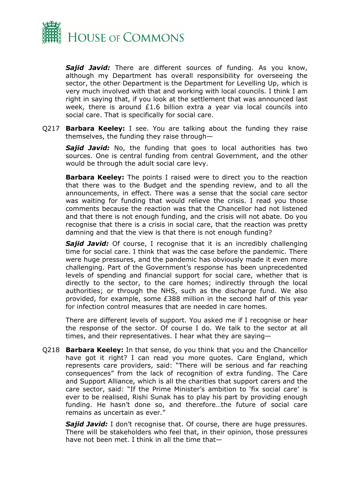

*Sajid Javid:* There are different sources of funding. As you know, although my Department has overall responsibility for overseeing the sector, the other Department is the Department for Levelling Up, which is very much involved with that and working with local councils. I think I am right in saying that, if you look at the settlement that was announced last week, there is around £1.6 billion extra a year via local councils into social care. That is specifically for social care.

Q217 **Barbara Keeley:** I see. You are talking about the funding they raise themselves, the funding they raise through—

**Sajid Javid:** No, the funding that goes to local authorities has two sources. One is central funding from central Government, and the other would be through the adult social care levy.

**Barbara Keeley:** The points I raised were to direct you to the reaction that there was to the Budget and the spending review, and to all the announcements, in effect. There was a sense that the social care sector was waiting for funding that would relieve the crisis. I read you those comments because the reaction was that the Chancellor had not listened and that there is not enough funding, and the crisis will not abate. Do you recognise that there is a crisis in social care, that the reaction was pretty damning and that the view is that there is not enough funding?

**Sajid Javid:** Of course, I recognise that it is an incredibly challenging time for social care. I think that was the case before the pandemic. There were huge pressures, and the pandemic has obviously made it even more challenging. Part of the Government's response has been unprecedented levels of spending and financial support for social care, whether that is directly to the sector, to the care homes; indirectly through the local authorities; or through the NHS, such as the discharge fund. We also provided, for example, some £388 million in the second half of this year for infection control measures that are needed in care homes.

There are different levels of support. You asked me if I recognise or hear the response of the sector. Of course I do. We talk to the sector at all times, and their representatives. I hear what they are saying—

Q218 **Barbara Keeley:** In that sense, do you think that you and the Chancellor have got it right? I can read you more quotes. Care England, which represents care providers, said: "There will be serious and far reaching consequences" from the lack of recognition of extra funding. The Care and Support Alliance, which is all the charities that support carers and the care sector, said: "If the Prime Minister's ambition to 'fix social care' is ever to be realised, Rishi Sunak has to play his part by providing enough funding. He hasn't done so, and therefore…the future of social care remains as uncertain as ever."

**Sajid Javid:** I don't recognise that. Of course, there are huge pressures. There will be stakeholders who feel that, in their opinion, those pressures have not been met. I think in all the time that—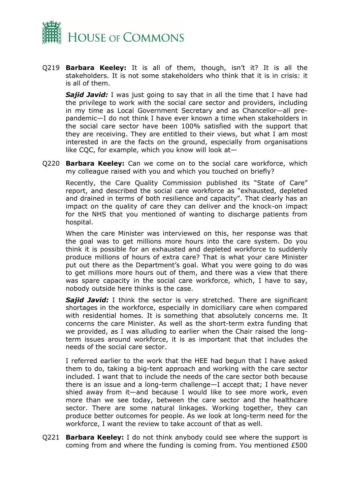

Q219 **Barbara Keeley:** It is all of them, though, isn't it? It is all the stakeholders. It is not some stakeholders who think that it is in crisis: it is all of them.

**Sajid Javid:** I was just going to say that in all the time that I have had the privilege to work with the social care sector and providers, including in my time as Local Government Secretary and as Chancellor—all prepandemic—I do not think I have ever known a time when stakeholders in the social care sector have been 100% satisfied with the support that they are receiving. They are entitled to their views, but what I am most interested in are the facts on the ground, especially from organisations like CQC, for example, which you know will look at—

Q220 **Barbara Keeley:** Can we come on to the social care workforce, which my colleague raised with you and which you touched on briefly?

Recently, the Care Quality Commission published its "State of Care" report, and described the social care workforce as "exhausted, depleted and drained in terms of both resilience and capacity". That clearly has an impact on the quality of care they can deliver and the knock-on impact for the NHS that you mentioned of wanting to discharge patients from hospital.

When the care Minister was interviewed on this, her response was that the goal was to get millions more hours into the care system. Do you think it is possible for an exhausted and depleted workforce to suddenly produce millions of hours of extra care? That is what your care Minister put out there as the Department's goal. What you were going to do was to get millions more hours out of them, and there was a view that there was spare capacity in the social care workforce, which, I have to say, nobody outside here thinks is the case.

*Sajid Javid:* I think the sector is very stretched. There are significant shortages in the workforce, especially in domiciliary care when compared with residential homes. It is something that absolutely concerns me. It concerns the care Minister. As well as the short-term extra funding that we provided, as I was alluding to earlier when the Chair raised the longterm issues around workforce, it is as important that that includes the needs of the social care sector.

I referred earlier to the work that the HEE had begun that I have asked them to do, taking a big-tent approach and working with the care sector included. I want that to include the needs of the care sector both because there is an issue and a long-term challenge—I accept that; I have never shied away from it—and because I would like to see more work, even more than we see today, between the care sector and the healthcare sector. There are some natural linkages. Working together, they can produce better outcomes for people. As we look at long-term need for the workforce, I want the review to take account of that as well.

Q221 **Barbara Keeley:** I do not think anybody could see where the support is coming from and where the funding is coming from. You mentioned £500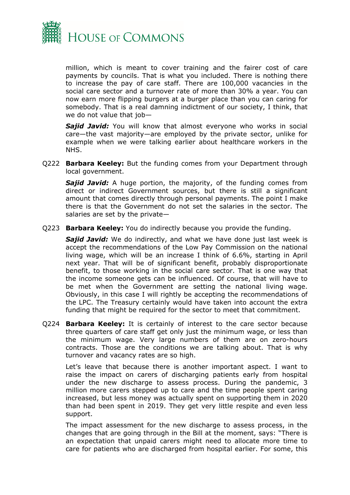

million, which is meant to cover training and the fairer cost of care payments by councils. That is what you included. There is nothing there to increase the pay of care staff. There are 100,000 vacancies in the social care sector and a turnover rate of more than 30% a year. You can now earn more flipping burgers at a burger place than you can caring for somebody. That is a real damning indictment of our society, I think, that we do not value that job—

*Sajid Javid:* You will know that almost everyone who works in social care—the vast majority—are employed by the private sector, unlike for example when we were talking earlier about healthcare workers in the NHS.

Q222 **Barbara Keeley:** But the funding comes from your Department through local government.

*Sajid Javid:* A huge portion, the majority, of the funding comes from direct or indirect Government sources, but there is still a significant amount that comes directly through personal payments. The point I make there is that the Government do not set the salaries in the sector. The salaries are set by the private—

Q223 **Barbara Keeley:** You do indirectly because you provide the funding.

*Sajid Javid:* We do indirectly, and what we have done just last week is accept the recommendations of the Low Pay Commission on the national living wage, which will be an increase I think of 6.6%, starting in April next year. That will be of significant benefit, probably disproportionate benefit, to those working in the social care sector. That is one way that the income someone gets can be influenced. Of course, that will have to be met when the Government are setting the national living wage. Obviously, in this case I will rightly be accepting the recommendations of the LPC. The Treasury certainly would have taken into account the extra funding that might be required for the sector to meet that commitment.

Q224 **Barbara Keeley:** It is certainly of interest to the care sector because three quarters of care staff get only just the minimum wage, or less than the minimum wage. Very large numbers of them are on zero-hours contracts. Those are the conditions we are talking about. That is why turnover and vacancy rates are so high.

Let's leave that because there is another important aspect. I want to raise the impact on carers of discharging patients early from hospital under the new discharge to assess process. During the pandemic, 3 million more carers stepped up to care and the time people spent caring increased, but less money was actually spent on supporting them in 2020 than had been spent in 2019. They get very little respite and even less support.

The impact assessment for the new discharge to assess process, in the changes that are going through in the Bill at the moment, says: "There is an expectation that unpaid carers might need to allocate more time to care for patients who are discharged from hospital earlier. For some, this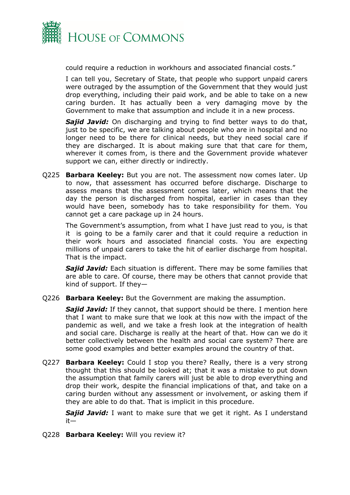

could require a reduction in workhours and associated financial costs."

I can tell you, Secretary of State, that people who support unpaid carers were outraged by the assumption of the Government that they would just drop everything, including their paid work, and be able to take on a new caring burden. It has actually been a very damaging move by the Government to make that assumption and include it in a new process.

*Sajid Javid:* On discharging and trying to find better ways to do that, just to be specific, we are talking about people who are in hospital and no longer need to be there for clinical needs, but they need social care if they are discharged. It is about making sure that that care for them, wherever it comes from, is there and the Government provide whatever support we can, either directly or indirectly.

Q225 **Barbara Keeley:** But you are not. The assessment now comes later. Up to now, that assessment has occurred before discharge. Discharge to assess means that the assessment comes later, which means that the day the person is discharged from hospital, earlier in cases than they would have been, somebody has to take responsibility for them. You cannot get a care package up in 24 hours.

The Government's assumption, from what I have just read to you, is that it is going to be a family carer and that it could require a reduction in their work hours and associated financial costs. You are expecting millions of unpaid carers to take the hit of earlier discharge from hospital. That is the impact.

*Sajid Javid:* Each situation is different. There may be some families that are able to care. Of course, there may be others that cannot provide that kind of support. If they—

Q226 **Barbara Keeley:** But the Government are making the assumption.

*Sajid Javid:* If they cannot, that support should be there. I mention here that I want to make sure that we look at this now with the impact of the pandemic as well, and we take a fresh look at the integration of health and social care. Discharge is really at the heart of that. How can we do it better collectively between the health and social care system? There are some good examples and better examples around the country of that.

Q227 **Barbara Keeley:** Could I stop you there? Really, there is a very strong thought that this should be looked at; that it was a mistake to put down the assumption that family carers will just be able to drop everything and drop their work, despite the financial implications of that, and take on a caring burden without any assessment or involvement, or asking them if they are able to do that. That is implicit in this procedure.

*Sajid Javid:* I want to make sure that we get it right. As I understand it—

Q228 **Barbara Keeley:** Will you review it?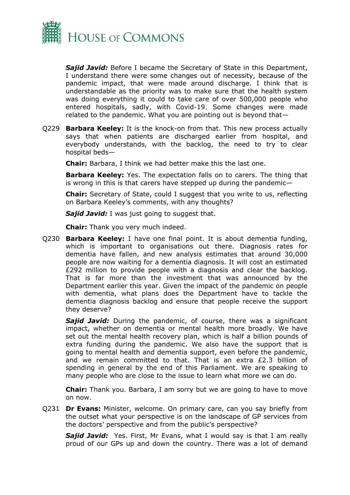

*Sajid Javid:* Before I became the Secretary of State in this Department, I understand there were some changes out of necessity, because of the pandemic impact, that were made around discharge. I think that is understandable as the priority was to make sure that the health system was doing everything it could to take care of over 500,000 people who entered hospitals, sadly, with Covid-19. Some changes were made related to the pandemic. What you are pointing out is beyond that—

Q229 **Barbara Keeley:** It is the knock-on from that. This new process actually says that when patients are discharged earlier from hospital, and everybody understands, with the backlog, the need to try to clear hospital beds—

**Chair:** Barbara, I think we had better make this the last one.

**Barbara Keeley:** Yes. The expectation falls on to carers. The thing that is wrong in this is that carers have stepped up during the pandemic—

**Chair:** Secretary of State, could I suggest that you write to us, reflecting on Barbara Keeley's comments, with any thoughts?

**Sajid Javid:** I was just going to suggest that.

**Chair:** Thank you very much indeed.

Q230 **Barbara Keeley:** I have one final point. It is about dementia funding, which is important to organisations out there. Diagnosis rates for dementia have fallen, and new analysis estimates that around 30,000 people are now waiting for a dementia diagnosis. It will cost an estimated £292 million to provide people with a diagnosis and clear the backlog. That is far more than the investment that was announced by the Department earlier this year. Given the impact of the pandemic on people with dementia, what plans does the Department have to tackle the dementia diagnosis backlog and ensure that people receive the support they deserve?

*Sajid Javid:* During the pandemic, of course, there was a significant impact, whether on dementia or mental health more broadly. We have set out the mental health recovery plan, which is half a billion pounds of extra funding during the pandemic. We also have the support that is going to mental health and dementia support, even before the pandemic, and we remain committed to that. That is an extra £2.3 billion of spending in general by the end of this Parliament. We are speaking to many people who are close to the issue to learn what more we can do.

**Chair:** Thank you. Barbara, I am sorry but we are going to have to move on now.

Q231 **Dr Evans:** Minister, welcome. On primary care, can you say briefly from the outset what your perspective is on the landscape of GP services from the doctors' perspective and from the public's perspective?

*Sajid Javid:* Yes. First, Mr Evans, what I would say is that I am really proud of our GPs up and down the country. There was a lot of demand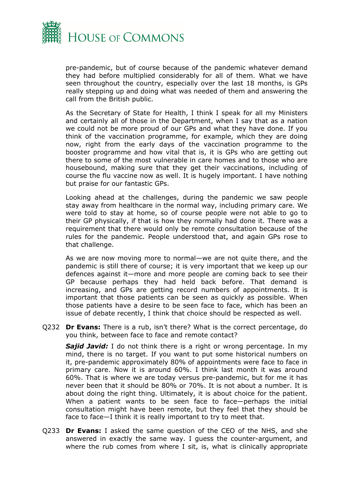

pre-pandemic, but of course because of the pandemic whatever demand they had before multiplied considerably for all of them. What we have seen throughout the country, especially over the last 18 months, is GPs really stepping up and doing what was needed of them and answering the call from the British public.

As the Secretary of State for Health, I think I speak for all my Ministers and certainly all of those in the Department, when I say that as a nation we could not be more proud of our GPs and what they have done. If you think of the vaccination programme, for example, which they are doing now, right from the early days of the vaccination programme to the booster programme and how vital that is, it is GPs who are getting out there to some of the most vulnerable in care homes and to those who are housebound, making sure that they get their vaccinations, including of course the flu vaccine now as well. It is hugely important. I have nothing but praise for our fantastic GPs.

Looking ahead at the challenges, during the pandemic we saw people stay away from healthcare in the normal way, including primary care. We were told to stay at home, so of course people were not able to go to their GP physically, if that is how they normally had done it. There was a requirement that there would only be remote consultation because of the rules for the pandemic. People understood that, and again GPs rose to that challenge.

As we are now moving more to normal—we are not quite there, and the pandemic is still there of course; it is very important that we keep up our defences against it—more and more people are coming back to see their GP because perhaps they had held back before. That demand is increasing, and GPs are getting record numbers of appointments. It is important that those patients can be seen as quickly as possible. When those patients have a desire to be seen face to face, which has been an issue of debate recently, I think that choice should be respected as well.

Q232 **Dr Evans:** There is a rub, isn't there? What is the correct percentage, do you think, between face to face and remote contact?

**Sajid Javid:** I do not think there is a right or wrong percentage. In my mind, there is no target. If you want to put some historical numbers on it, pre-pandemic approximately 80% of appointments were face to face in primary care. Now it is around 60%. I think last month it was around 60%. That is where we are today versus pre-pandemic, but for me it has never been that it should be 80% or 70%. It is not about a number. It is about doing the right thing. Ultimately, it is about choice for the patient. When a patient wants to be seen face to face—perhaps the initial consultation might have been remote, but they feel that they should be face to face—I think it is really important to try to meet that.

Q233 **Dr Evans:** I asked the same question of the CEO of the NHS, and she answered in exactly the same way. I guess the counter-argument, and where the rub comes from where I sit, is, what is clinically appropriate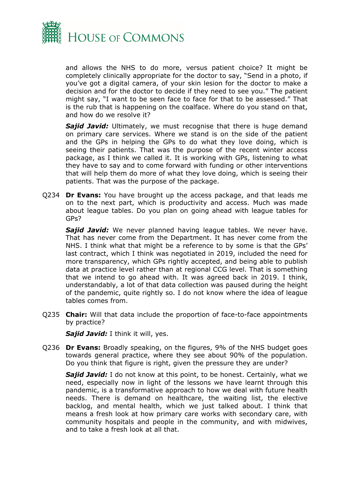

and allows the NHS to do more, versus patient choice? It might be completely clinically appropriate for the doctor to say, "Send in a photo, if you've got a digital camera, of your skin lesion for the doctor to make a decision and for the doctor to decide if they need to see you." The patient might say, "I want to be seen face to face for that to be assessed." That is the rub that is happening on the coalface. Where do you stand on that, and how do we resolve it?

*Sajid Javid:* Ultimately, we must recognise that there is huge demand on primary care services. Where we stand is on the side of the patient and the GPs in helping the GPs to do what they love doing, which is seeing their patients. That was the purpose of the recent winter access package, as I think we called it. It is working with GPs, listening to what they have to say and to come forward with funding or other interventions that will help them do more of what they love doing, which is seeing their patients. That was the purpose of the package.

Q234 **Dr Evans:** You have brought up the access package, and that leads me on to the next part, which is productivity and access. Much was made about league tables. Do you plan on going ahead with league tables for GPs?

*Sajid Javid:* We never planned having league tables. We never have. That has never come from the Department. It has never come from the NHS. I think what that might be a reference to by some is that the GPs' last contract, which I think was negotiated in 2019, included the need for more transparency, which GPs rightly accepted, and being able to publish data at practice level rather than at regional CCG level. That is something that we intend to go ahead with. It was agreed back in 2019. I think, understandably, a lot of that data collection was paused during the height of the pandemic, quite rightly so. I do not know where the idea of league tables comes from.

Q235 **Chair:** Will that data include the proportion of face-to-face appointments by practice?

*Sajid Javid:* I think it will, yes.

Q236 **Dr Evans:** Broadly speaking, on the figures, 9% of the NHS budget goes towards general practice, where they see about 90% of the population. Do you think that figure is right, given the pressure they are under?

*Sajid Javid:* I do not know at this point, to be honest. Certainly, what we need, especially now in light of the lessons we have learnt through this pandemic, is a transformative approach to how we deal with future health needs. There is demand on healthcare, the waiting list, the elective backlog, and mental health, which we just talked about. I think that means a fresh look at how primary care works with secondary care, with community hospitals and people in the community, and with midwives, and to take a fresh look at all that.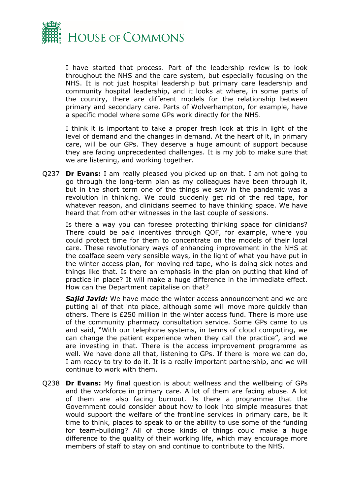

I have started that process. Part of the leadership review is to look throughout the NHS and the care system, but especially focusing on the NHS. It is not just hospital leadership but primary care leadership and community hospital leadership, and it looks at where, in some parts of the country, there are different models for the relationship between primary and secondary care. Parts of Wolverhampton, for example, have a specific model where some GPs work directly for the NHS.

I think it is important to take a proper fresh look at this in light of the level of demand and the changes in demand. At the heart of it, in primary care, will be our GPs. They deserve a huge amount of support because they are facing unprecedented challenges. It is my job to make sure that we are listening, and working together.

Q237 **Dr Evans:** I am really pleased you picked up on that. I am not going to go through the long-term plan as my colleagues have been through it, but in the short term one of the things we saw in the pandemic was a revolution in thinking. We could suddenly get rid of the red tape, for whatever reason, and clinicians seemed to have thinking space. We have heard that from other witnesses in the last couple of sessions.

Is there a way you can foresee protecting thinking space for clinicians? There could be paid incentives through QOF, for example, where you could protect time for them to concentrate on the models of their local care. These revolutionary ways of enhancing improvement in the NHS at the coalface seem very sensible ways, in the light of what you have put in the winter access plan, for moving red tape, who is doing sick notes and things like that. Is there an emphasis in the plan on putting that kind of practice in place? It will make a huge difference in the immediate effect. How can the Department capitalise on that?

*Sajid Javid:* We have made the winter access announcement and we are putting all of that into place, although some will move more quickly than others. There is £250 million in the winter access fund. There is more use of the community pharmacy consultation service. Some GPs came to us and said, "With our telephone systems, in terms of cloud computing, we can change the patient experience when they call the practice", and we are investing in that. There is the access improvement programme as well. We have done all that, listening to GPs. If there is more we can do, I am ready to try to do it. It is a really important partnership, and we will continue to work with them.

Q238 **Dr Evans:** My final question is about wellness and the wellbeing of GPs and the workforce in primary care. A lot of them are facing abuse. A lot of them are also facing burnout. Is there a programme that the Government could consider about how to look into simple measures that would support the welfare of the frontline services in primary care, be it time to think, places to speak to or the ability to use some of the funding for team-building? All of those kinds of things could make a huge difference to the quality of their working life, which may encourage more members of staff to stay on and continue to contribute to the NHS.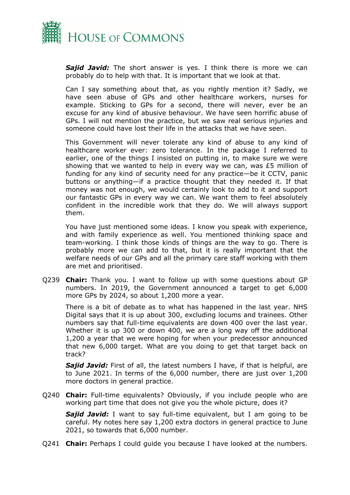

*Sajid Javid:* The short answer is yes. I think there is more we can probably do to help with that. It is important that we look at that.

Can I say something about that, as you rightly mention it? Sadly, we have seen abuse of GPs and other healthcare workers, nurses for example. Sticking to GPs for a second, there will never, ever be an excuse for any kind of abusive behaviour. We have seen horrific abuse of GPs. I will not mention the practice, but we saw real serious injuries and someone could have lost their life in the attacks that we have seen.

This Government will never tolerate any kind of abuse to any kind of healthcare worker ever: zero tolerance. In the package I referred to earlier, one of the things I insisted on putting in, to make sure we were showing that we wanted to help in every way we can, was £5 million of funding for any kind of security need for any practice—be it CCTV, panic buttons or anything—if a practice thought that they needed it. If that money was not enough, we would certainly look to add to it and support our fantastic GPs in every way we can. We want them to feel absolutely confident in the incredible work that they do. We will always support them.

You have just mentioned some ideas. I know you speak with experience, and with family experience as well. You mentioned thinking space and team-working. I think those kinds of things are the way to go. There is probably more we can add to that, but it is really important that the welfare needs of our GPs and all the primary care staff working with them are met and prioritised.

Q239 **Chair:** Thank you. I want to follow up with some questions about GP numbers. In 2019, the Government announced a target to get 6,000 more GPs by 2024, so about 1,200 more a year.

There is a bit of debate as to what has happened in the last year. NHS Digital says that it is up about 300, excluding locums and trainees. Other numbers say that full-time equivalents are down 400 over the last year. Whether it is up 300 or down 400, we are a long way off the additional 1,200 a year that we were hoping for when your predecessor announced that new 6,000 target. What are you doing to get that target back on track?

**Sajid Javid:** First of all, the latest numbers I have, if that is helpful, are to June 2021. In terms of the 6,000 number, there are just over 1,200 more doctors in general practice.

Q240 **Chair:** Full-time equivalents? Obviously, if you include people who are working part time that does not give you the whole picture, does it?

*Sajid Javid:* I want to say full-time equivalent, but I am going to be careful. My notes here say 1,200 extra doctors in general practice to June 2021, so towards that 6,000 number.

Q241 **Chair:** Perhaps I could guide you because I have looked at the numbers.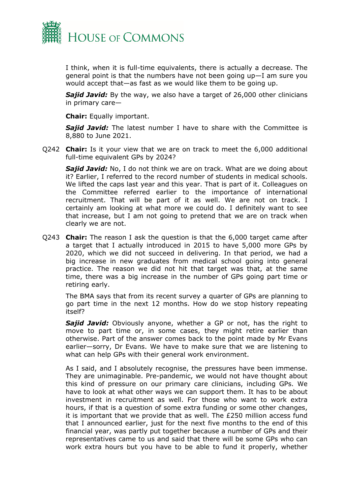

I think, when it is full-time equivalents, there is actually a decrease. The general point is that the numbers have not been going up—I am sure you would accept that—as fast as we would like them to be going up.

*Sajid Javid:* By the way, we also have a target of 26,000 other clinicians in primary care—

**Chair:** Equally important.

*Sajid Javid:* The latest number I have to share with the Committee is 8,880 to June 2021.

Q242 **Chair:** Is it your view that we are on track to meet the 6,000 additional full-time equivalent GPs by 2024?

**Sajid Javid:** No, I do not think we are on track. What are we doing about it? Earlier, I referred to the record number of students in medical schools. We lifted the caps last year and this year. That is part of it. Colleagues on the Committee referred earlier to the importance of international recruitment. That will be part of it as well. We are not on track. I certainly am looking at what more we could do. I definitely want to see that increase, but I am not going to pretend that we are on track when clearly we are not.

Q243 **Chair:** The reason I ask the question is that the 6,000 target came after a target that I actually introduced in 2015 to have 5,000 more GPs by 2020, which we did not succeed in delivering. In that period, we had a big increase in new graduates from medical school going into general practice. The reason we did not hit that target was that, at the same time, there was a big increase in the number of GPs going part time or retiring early.

The BMA says that from its recent survey a quarter of GPs are planning to go part time in the next 12 months. How do we stop history repeating itself?

*Sajid Javid:* Obviously anyone, whether a GP or not, has the right to move to part time or, in some cases, they might retire earlier than otherwise. Part of the answer comes back to the point made by Mr Evans earlier—sorry, Dr Evans. We have to make sure that we are listening to what can help GPs with their general work environment.

As I said, and I absolutely recognise, the pressures have been immense. They are unimaginable. Pre-pandemic, we would not have thought about this kind of pressure on our primary care clinicians, including GPs. We have to look at what other ways we can support them. It has to be about investment in recruitment as well. For those who want to work extra hours, if that is a question of some extra funding or some other changes, it is important that we provide that as well. The £250 million access fund that I announced earlier, just for the next five months to the end of this financial year, was partly put together because a number of GPs and their representatives came to us and said that there will be some GPs who can work extra hours but you have to be able to fund it properly, whether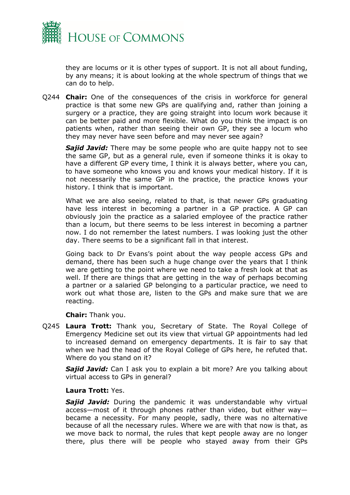

they are locums or it is other types of support. It is not all about funding, by any means; it is about looking at the whole spectrum of things that we can do to help.

Q244 **Chair:** One of the consequences of the crisis in workforce for general practice is that some new GPs are qualifying and, rather than joining a surgery or a practice, they are going straight into locum work because it can be better paid and more flexible. What do you think the impact is on patients when, rather than seeing their own GP, they see a locum who they may never have seen before and may never see again?

*Sajid Javid:* There may be some people who are quite happy not to see the same GP, but as a general rule, even if someone thinks it is okay to have a different GP every time, I think it is always better, where you can, to have someone who knows you and knows your medical history. If it is not necessarily the same GP in the practice, the practice knows your history. I think that is important.

What we are also seeing, related to that, is that newer GPs graduating have less interest in becoming a partner in a GP practice. A GP can obviously join the practice as a salaried employee of the practice rather than a locum, but there seems to be less interest in becoming a partner now. I do not remember the latest numbers. I was looking just the other day. There seems to be a significant fall in that interest.

Going back to Dr Evans's point about the way people access GPs and demand, there has been such a huge change over the years that I think we are getting to the point where we need to take a fresh look at that as well. If there are things that are getting in the way of perhaps becoming a partner or a salaried GP belonging to a particular practice, we need to work out what those are, listen to the GPs and make sure that we are reacting.

**Chair:** Thank you.

Q245 **Laura Trott:** Thank you, Secretary of State. The Royal College of Emergency Medicine set out its view that virtual GP appointments had led to increased demand on emergency departments. It is fair to say that when we had the head of the Royal College of GPs here, he refuted that. Where do you stand on it?

*Sajid Javid:* Can I ask you to explain a bit more? Are you talking about virtual access to GPs in general?

#### **Laura Trott:** Yes.

**Sajid Javid:** During the pandemic it was understandable why virtual access—most of it through phones rather than video, but either way became a necessity. For many people, sadly, there was no alternative because of all the necessary rules. Where we are with that now is that, as we move back to normal, the rules that kept people away are no longer there, plus there will be people who stayed away from their GPs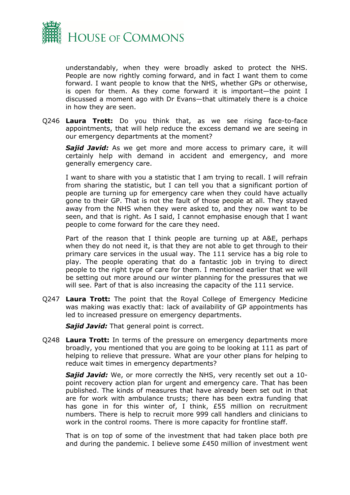

understandably, when they were broadly asked to protect the NHS. People are now rightly coming forward, and in fact I want them to come forward. I want people to know that the NHS, whether GPs or otherwise, is open for them. As they come forward it is important—the point I discussed a moment ago with Dr Evans—that ultimately there is a choice in how they are seen.

Q246 **Laura Trott:** Do you think that, as we see rising face-to-face appointments, that will help reduce the excess demand we are seeing in our emergency departments at the moment?

*Sajid Javid:* As we get more and more access to primary care, it will certainly help with demand in accident and emergency, and more generally emergency care.

I want to share with you a statistic that I am trying to recall. I will refrain from sharing the statistic, but I can tell you that a significant portion of people are turning up for emergency care when they could have actually gone to their GP. That is not the fault of those people at all. They stayed away from the NHS when they were asked to, and they now want to be seen, and that is right. As I said, I cannot emphasise enough that I want people to come forward for the care they need.

Part of the reason that I think people are turning up at A&E, perhaps when they do not need it, is that they are not able to get through to their primary care services in the usual way. The 111 service has a big role to play. The people operating that do a fantastic job in trying to direct people to the right type of care for them. I mentioned earlier that we will be setting out more around our winter planning for the pressures that we will see. Part of that is also increasing the capacity of the 111 service.

Q247 **Laura Trott:** The point that the Royal College of Emergency Medicine was making was exactly that: lack of availability of GP appointments has led to increased pressure on emergency departments.

*Sajid Javid:* That general point is correct.

Q248 **Laura Trott:** In terms of the pressure on emergency departments more broadly, you mentioned that you are going to be looking at 111 as part of helping to relieve that pressure. What are your other plans for helping to reduce wait times in emergency departments?

*Sajid Javid:* We, or more correctly the NHS, very recently set out a 10 point recovery action plan for urgent and emergency care. That has been published. The kinds of measures that have already been set out in that are for work with ambulance trusts; there has been extra funding that has gone in for this winter of, I think, £55 million on recruitment numbers. There is help to recruit more 999 call handlers and clinicians to work in the control rooms. There is more capacity for frontline staff.

That is on top of some of the investment that had taken place both pre and during the pandemic. I believe some £450 million of investment went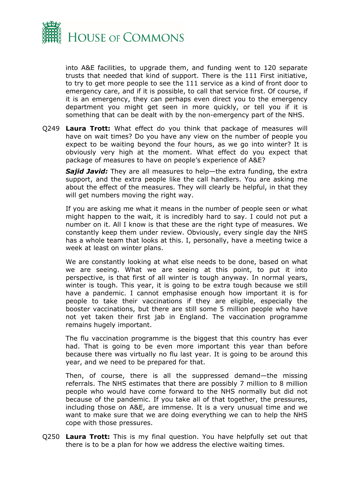

into A&E facilities, to upgrade them, and funding went to 120 separate trusts that needed that kind of support. There is the 111 First initiative, to try to get more people to see the 111 service as a kind of front door to emergency care, and if it is possible, to call that service first. Of course, if it is an emergency, they can perhaps even direct you to the emergency department you might get seen in more quickly, or tell you if it is something that can be dealt with by the non-emergency part of the NHS.

Q249 **Laura Trott:** What effect do you think that package of measures will have on wait times? Do you have any view on the number of people you expect to be waiting beyond the four hours, as we go into winter? It is obviously very high at the moment. What effect do you expect that package of measures to have on people's experience of A&E?

*Sajid Javid:* They are all measures to help—the extra funding, the extra support, and the extra people like the call handlers. You are asking me about the effect of the measures. They will clearly be helpful, in that they will get numbers moving the right way.

If you are asking me what it means in the number of people seen or what might happen to the wait, it is incredibly hard to say. I could not put a number on it. All I know is that these are the right type of measures. We constantly keep them under review. Obviously, every single day the NHS has a whole team that looks at this. I, personally, have a meeting twice a week at least on winter plans.

We are constantly looking at what else needs to be done, based on what we are seeing. What we are seeing at this point, to put it into perspective, is that first of all winter is tough anyway. In normal years, winter is tough. This year, it is going to be extra tough because we still have a pandemic. I cannot emphasise enough how important it is for people to take their vaccinations if they are eligible, especially the booster vaccinations, but there are still some 5 million people who have not yet taken their first jab in England. The vaccination programme remains hugely important.

The flu vaccination programme is the biggest that this country has ever had. That is going to be even more important this year than before because there was virtually no flu last year. It is going to be around this year, and we need to be prepared for that.

Then, of course, there is all the suppressed demand—the missing referrals. The NHS estimates that there are possibly 7 million to 8 million people who would have come forward to the NHS normally but did not because of the pandemic. If you take all of that together, the pressures, including those on A&E, are immense. It is a very unusual time and we want to make sure that we are doing everything we can to help the NHS cope with those pressures.

Q250 **Laura Trott:** This is my final question. You have helpfully set out that there is to be a plan for how we address the elective waiting times.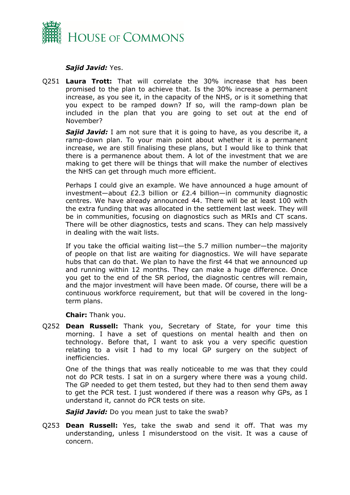

### *Sajid Javid:* Yes.

Q251 **Laura Trott:** That will correlate the 30% increase that has been promised to the plan to achieve that. Is the 30% increase a permanent increase, as you see it, in the capacity of the NHS, or is it something that you expect to be ramped down? If so, will the ramp-down plan be included in the plan that you are going to set out at the end of November?

**Sajid Javid:** I am not sure that it is going to have, as you describe it, a ramp-down plan. To your main point about whether it is a permanent increase, we are still finalising these plans, but I would like to think that there is a permanence about them. A lot of the investment that we are making to get there will be things that will make the number of electives the NHS can get through much more efficient.

Perhaps I could give an example. We have announced a huge amount of investment—about £2.3 billion or £2.4 billion—in community diagnostic centres. We have already announced 44. There will be at least 100 with the extra funding that was allocated in the settlement last week. They will be in communities, focusing on diagnostics such as MRIs and CT scans. There will be other diagnostics, tests and scans. They can help massively in dealing with the wait lists.

If you take the official waiting list—the 5.7 million number—the majority of people on that list are waiting for diagnostics. We will have separate hubs that can do that. We plan to have the first 44 that we announced up and running within 12 months. They can make a huge difference. Once you get to the end of the SR period, the diagnostic centres will remain, and the major investment will have been made. Of course, there will be a continuous workforce requirement, but that will be covered in the longterm plans.

**Chair:** Thank you.

Q252 **Dean Russell:** Thank you, Secretary of State, for your time this morning. I have a set of questions on mental health and then on technology. Before that, I want to ask you a very specific question relating to a visit I had to my local GP surgery on the subject of inefficiencies.

One of the things that was really noticeable to me was that they could not do PCR tests. I sat in on a surgery where there was a young child. The GP needed to get them tested, but they had to then send them away to get the PCR test. I just wondered if there was a reason why GPs, as I understand it, cannot do PCR tests on site.

*Sajid Javid:* Do you mean just to take the swab?

Q253 **Dean Russell:** Yes, take the swab and send it off. That was my understanding, unless I misunderstood on the visit. It was a cause of concern.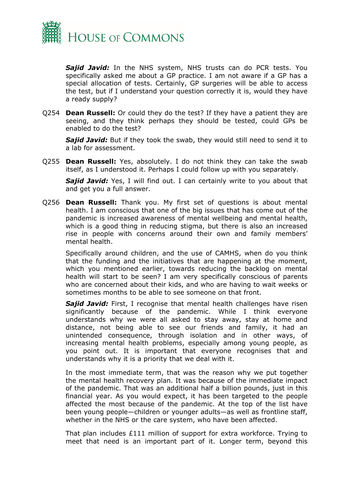

*Sajid Javid:* In the NHS system, NHS trusts can do PCR tests. You specifically asked me about a GP practice. I am not aware if a GP has a special allocation of tests. Certainly, GP surgeries will be able to access the test, but if I understand your question correctly it is, would they have a ready supply?

Q254 **Dean Russell:** Or could they do the test? If they have a patient they are seeing, and they think perhaps they should be tested, could GPs be enabled to do the test?

*Sajid Javid:* But if they took the swab, they would still need to send it to a lab for assessment.

Q255 **Dean Russell:** Yes, absolutely. I do not think they can take the swab itself, as I understood it. Perhaps I could follow up with you separately.

**Sajid Javid:** Yes, I will find out. I can certainly write to you about that and get you a full answer.

Q256 **Dean Russell:** Thank you. My first set of questions is about mental health. I am conscious that one of the big issues that has come out of the pandemic is increased awareness of mental wellbeing and mental health, which is a good thing in reducing stigma, but there is also an increased rise in people with concerns around their own and family members' mental health.

Specifically around children, and the use of CAMHS, when do you think that the funding and the initiatives that are happening at the moment, which you mentioned earlier, towards reducing the backlog on mental health will start to be seen? I am very specifically conscious of parents who are concerned about their kids, and who are having to wait weeks or sometimes months to be able to see someone on that front.

*Sajid Javid:* First, I recognise that mental health challenges have risen significantly because of the pandemic. While I think everyone understands why we were all asked to stay away, stay at home and distance, not being able to see our friends and family, it had an unintended consequence, through isolation and in other ways, of increasing mental health problems, especially among young people, as you point out. It is important that everyone recognises that and understands why it is a priority that we deal with it.

In the most immediate term, that was the reason why we put together the mental health recovery plan. It was because of the immediate impact of the pandemic. That was an additional half a billion pounds, just in this financial year. As you would expect, it has been targeted to the people affected the most because of the pandemic. At the top of the list have been young people—children or younger adults—as well as frontline staff, whether in the NHS or the care system, who have been affected.

That plan includes £111 million of support for extra workforce. Trying to meet that need is an important part of it. Longer term, beyond this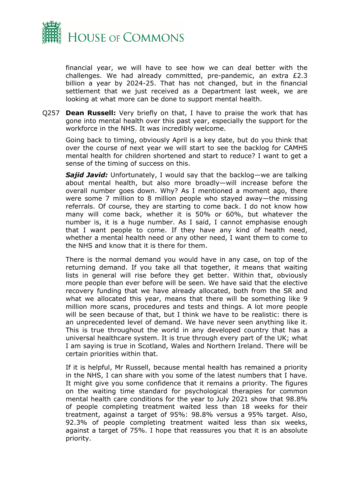

financial year, we will have to see how we can deal better with the challenges. We had already committed, pre-pandemic, an extra £2.3 billion a year by 2024-25. That has not changed, but in the financial settlement that we just received as a Department last week, we are looking at what more can be done to support mental health.

Q257 **Dean Russell:** Very briefly on that, I have to praise the work that has gone into mental health over this past year, especially the support for the workforce in the NHS. It was incredibly welcome.

Going back to timing, obviously April is a key date, but do you think that over the course of next year we will start to see the backlog for CAMHS mental health for children shortened and start to reduce? I want to get a sense of the timing of success on this.

*Sajid Javid:* Unfortunately, I would say that the backlog—we are talking about mental health, but also more broadly—will increase before the overall number goes down. Why? As I mentioned a moment ago, there were some 7 million to 8 million people who stayed away—the missing referrals. Of course, they are starting to come back. I do not know how many will come back, whether it is 50% or 60%, but whatever the number is, it is a huge number. As I said, I cannot emphasise enough that I want people to come. If they have any kind of health need, whether a mental health need or any other need, I want them to come to the NHS and know that it is there for them.

There is the normal demand you would have in any case, on top of the returning demand. If you take all that together, it means that waiting lists in general will rise before they get better. Within that, obviously more people than ever before will be seen. We have said that the elective recovery funding that we have already allocated, both from the SR and what we allocated this year, means that there will be something like 9 million more scans, procedures and tests and things. A lot more people will be seen because of that, but I think we have to be realistic: there is an unprecedented level of demand. We have never seen anything like it. This is true throughout the world in any developed country that has a universal healthcare system. It is true through every part of the UK; what I am saying is true in Scotland, Wales and Northern Ireland. There will be certain priorities within that.

If it is helpful, Mr Russell, because mental health has remained a priority in the NHS, I can share with you some of the latest numbers that I have. It might give you some confidence that it remains a priority. The figures on the waiting time standard for psychological therapies for common mental health care conditions for the year to July 2021 show that 98.8% of people completing treatment waited less than 18 weeks for their treatment, against a target of 95%: 98.8% versus a 95% target. Also, 92.3% of people completing treatment waited less than six weeks, against a target of 75%. I hope that reassures you that it is an absolute priority.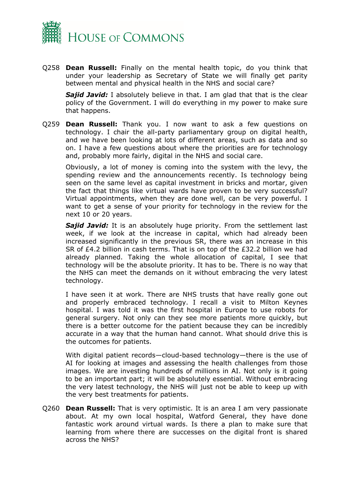

Q258 **Dean Russell:** Finally on the mental health topic, do you think that under your leadership as Secretary of State we will finally get parity between mental and physical health in the NHS and social care?

**Sajid Javid:** I absolutely believe in that. I am glad that that is the clear policy of the Government. I will do everything in my power to make sure that happens.

Q259 **Dean Russell:** Thank you. I now want to ask a few questions on technology. I chair the all-party parliamentary group on digital health, and we have been looking at lots of different areas, such as data and so on. I have a few questions about where the priorities are for technology and, probably more fairly, digital in the NHS and social care.

Obviously, a lot of money is coming into the system with the levy, the spending review and the announcements recently. Is technology being seen on the same level as capital investment in bricks and mortar, given the fact that things like virtual wards have proven to be very successful? Virtual appointments, when they are done well, can be very powerful. I want to get a sense of your priority for technology in the review for the next 10 or 20 years.

*Sajid Javid:* It is an absolutely huge priority. From the settlement last week, if we look at the increase in capital, which had already been increased significantly in the previous SR, there was an increase in this SR of £4.2 billion in cash terms. That is on top of the £32.2 billion we had already planned. Taking the whole allocation of capital, I see that technology will be the absolute priority. It has to be. There is no way that the NHS can meet the demands on it without embracing the very latest technology.

I have seen it at work. There are NHS trusts that have really gone out and properly embraced technology. I recall a visit to Milton Keynes hospital. I was told it was the first hospital in Europe to use robots for general surgery. Not only can they see more patients more quickly, but there is a better outcome for the patient because they can be incredibly accurate in a way that the human hand cannot. What should drive this is the outcomes for patients.

With digital patient records—cloud-based technology—there is the use of AI for looking at images and assessing the health challenges from those images. We are investing hundreds of millions in AI. Not only is it going to be an important part; it will be absolutely essential. Without embracing the very latest technology, the NHS will just not be able to keep up with the very best treatments for patients.

Q260 **Dean Russell:** That is very optimistic. It is an area I am very passionate about. At my own local hospital, Watford General, they have done fantastic work around virtual wards. Is there a plan to make sure that learning from where there are successes on the digital front is shared across the NHS?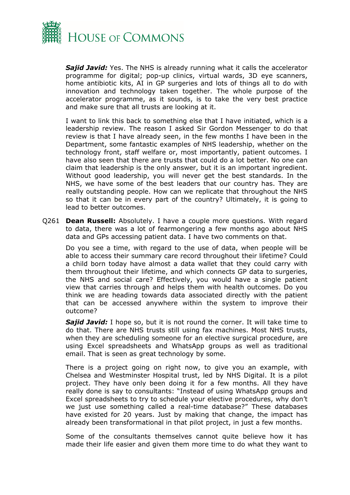

*Sajid Javid:* Yes. The NHS is already running what it calls the accelerator programme for digital; pop-up clinics, virtual wards, 3D eye scanners, home antibiotic kits, AI in GP surgeries and lots of things all to do with innovation and technology taken together. The whole purpose of the accelerator programme, as it sounds, is to take the very best practice and make sure that all trusts are looking at it.

I want to link this back to something else that I have initiated, which is a leadership review. The reason I asked Sir Gordon Messenger to do that review is that I have already seen, in the few months I have been in the Department, some fantastic examples of NHS leadership, whether on the technology front, staff welfare or, most importantly, patient outcomes. I have also seen that there are trusts that could do a lot better. No one can claim that leadership is the only answer, but it is an important ingredient. Without good leadership, you will never get the best standards. In the NHS, we have some of the best leaders that our country has. They are really outstanding people. How can we replicate that throughout the NHS so that it can be in every part of the country? Ultimately, it is going to lead to better outcomes.

Q261 **Dean Russell:** Absolutely. I have a couple more questions. With regard to data, there was a lot of fearmongering a few months ago about NHS data and GPs accessing patient data. I have two comments on that.

Do you see a time, with regard to the use of data, when people will be able to access their summary care record throughout their lifetime? Could a child born today have almost a data wallet that they could carry with them throughout their lifetime, and which connects GP data to surgeries, the NHS and social care? Effectively, you would have a single patient view that carries through and helps them with health outcomes. Do you think we are heading towards data associated directly with the patient that can be accessed anywhere within the system to improve their outcome?

**Sajid Javid:** I hope so, but it is not round the corner. It will take time to do that. There are NHS trusts still using fax machines. Most NHS trusts, when they are scheduling someone for an elective surgical procedure, are using Excel spreadsheets and WhatsApp groups as well as traditional email. That is seen as great technology by some.

There is a project going on right now, to give you an example, with Chelsea and Westminster Hospital trust, led by NHS Digital. It is a pilot project. They have only been doing it for a few months. All they have really done is say to consultants: "Instead of using WhatsApp groups and Excel spreadsheets to try to schedule your elective procedures, why don't we just use something called a real-time database?" These databases have existed for 20 years. Just by making that change, the impact has already been transformational in that pilot project, in just a few months.

Some of the consultants themselves cannot quite believe how it has made their life easier and given them more time to do what they want to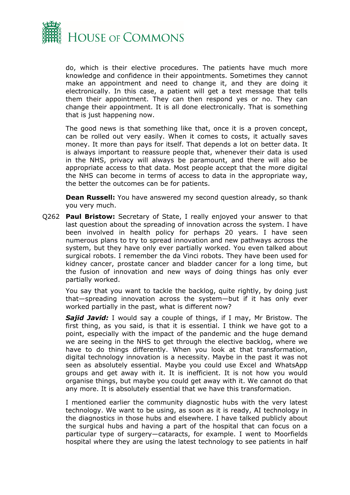

do, which is their elective procedures. The patients have much more knowledge and confidence in their appointments. Sometimes they cannot make an appointment and need to change it, and they are doing it electronically. In this case, a patient will get a text message that tells them their appointment. They can then respond yes or no. They can change their appointment. It is all done electronically. That is something that is just happening now.

The good news is that something like that, once it is a proven concept, can be rolled out very easily. When it comes to costs, it actually saves money. It more than pays for itself. That depends a lot on better data. It is always important to reassure people that, whenever their data is used in the NHS, privacy will always be paramount, and there will also be appropriate access to that data. Most people accept that the more digital the NHS can become in terms of access to data in the appropriate way, the better the outcomes can be for patients.

**Dean Russell:** You have answered my second question already, so thank you very much.

Q262 **Paul Bristow:** Secretary of State, I really enjoyed your answer to that last question about the spreading of innovation across the system. I have been involved in health policy for perhaps 20 years. I have seen numerous plans to try to spread innovation and new pathways across the system, but they have only ever partially worked. You even talked about surgical robots. I remember the da Vinci robots. They have been used for kidney cancer, prostate cancer and bladder cancer for a long time, but the fusion of innovation and new ways of doing things has only ever partially worked.

You say that you want to tackle the backlog, quite rightly, by doing just that—spreading innovation across the system—but if it has only ever worked partially in the past, what is different now?

*Sajid Javid:* I would say a couple of things, if I may, Mr Bristow. The first thing, as you said, is that it is essential. I think we have got to a point, especially with the impact of the pandemic and the huge demand we are seeing in the NHS to get through the elective backlog, where we have to do things differently. When you look at that transformation, digital technology innovation is a necessity. Maybe in the past it was not seen as absolutely essential. Maybe you could use Excel and WhatsApp groups and get away with it. It is inefficient. It is not how you would organise things, but maybe you could get away with it. We cannot do that any more. It is absolutely essential that we have this transformation.

I mentioned earlier the community diagnostic hubs with the very latest technology. We want to be using, as soon as it is ready, AI technology in the diagnostics in those hubs and elsewhere. I have talked publicly about the surgical hubs and having a part of the hospital that can focus on a particular type of surgery—cataracts, for example. I went to Moorfields hospital where they are using the latest technology to see patients in half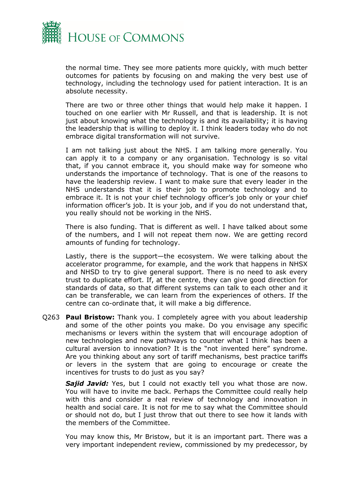

the normal time. They see more patients more quickly, with much better outcomes for patients by focusing on and making the very best use of technology, including the technology used for patient interaction. It is an absolute necessity.

There are two or three other things that would help make it happen. I touched on one earlier with Mr Russell, and that is leadership. It is not just about knowing what the technology is and its availability; it is having the leadership that is willing to deploy it. I think leaders today who do not embrace digital transformation will not survive.

I am not talking just about the NHS. I am talking more generally. You can apply it to a company or any organisation. Technology is so vital that, if you cannot embrace it, you should make way for someone who understands the importance of technology. That is one of the reasons to have the leadership review. I want to make sure that every leader in the NHS understands that it is their job to promote technology and to embrace it. It is not your chief technology officer's job only or your chief information officer's job. It is your job, and if you do not understand that, you really should not be working in the NHS.

There is also funding. That is different as well. I have talked about some of the numbers, and I will not repeat them now. We are getting record amounts of funding for technology.

Lastly, there is the support—the ecosystem. We were talking about the accelerator programme, for example, and the work that happens in NHSX and NHSD to try to give general support. There is no need to ask every trust to duplicate effort. If, at the centre, they can give good direction for standards of data, so that different systems can talk to each other and it can be transferable, we can learn from the experiences of others. If the centre can co-ordinate that, it will make a big difference.

Q263 **Paul Bristow:** Thank you. I completely agree with you about leadership and some of the other points you make. Do you envisage any specific mechanisms or levers within the system that will encourage adoption of new technologies and new pathways to counter what I think has been a cultural aversion to innovation? It is the "not invented here" syndrome. Are you thinking about any sort of tariff mechanisms, best practice tariffs or levers in the system that are going to encourage or create the incentives for trusts to do just as you say?

**Sajid Javid:** Yes, but I could not exactly tell you what those are now. You will have to invite me back. Perhaps the Committee could really help with this and consider a real review of technology and innovation in health and social care. It is not for me to say what the Committee should or should not do, but I just throw that out there to see how it lands with the members of the Committee.

You may know this, Mr Bristow, but it is an important part. There was a very important independent review, commissioned by my predecessor, by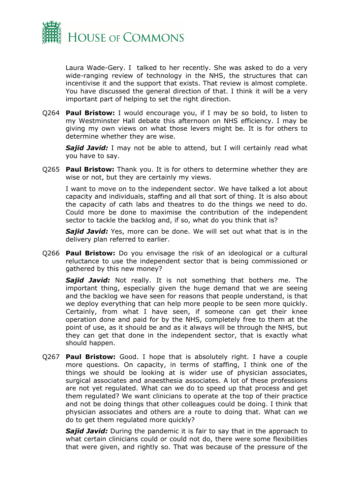

Laura Wade-Gery. I talked to her recently. She was asked to do a very wide-ranging review of technology in the NHS, the structures that can incentivise it and the support that exists. That review is almost complete. You have discussed the general direction of that. I think it will be a very important part of helping to set the right direction.

Q264 **Paul Bristow:** I would encourage you, if I may be so bold, to listen to my Westminster Hall debate this afternoon on NHS efficiency. I may be giving my own views on what those levers might be. It is for others to determine whether they are wise.

*Sajid Javid:* I may not be able to attend, but I will certainly read what you have to say.

Q265 **Paul Bristow:** Thank you. It is for others to determine whether they are wise or not, but they are certainly my views.

I want to move on to the independent sector. We have talked a lot about capacity and individuals, staffing and all that sort of thing. It is also about the capacity of cath labs and theatres to do the things we need to do. Could more be done to maximise the contribution of the independent sector to tackle the backlog and, if so, what do you think that is?

*Sajid Javid:* Yes, more can be done. We will set out what that is in the delivery plan referred to earlier.

Q266 **Paul Bristow:** Do you envisage the risk of an ideological or a cultural reluctance to use the independent sector that is being commissioned or gathered by this new money?

*Sajid Javid:* Not really. It is not something that bothers me. The important thing, especially given the huge demand that we are seeing and the backlog we have seen for reasons that people understand, is that we deploy everything that can help more people to be seen more quickly. Certainly, from what I have seen, if someone can get their knee operation done and paid for by the NHS, completely free to them at the point of use, as it should be and as it always will be through the NHS, but they can get that done in the independent sector, that is exactly what should happen.

Q267 **Paul Bristow:** Good. I hope that is absolutely right. I have a couple more questions. On capacity, in terms of staffing, I think one of the things we should be looking at is wider use of physician associates, surgical associates and anaesthesia associates. A lot of these professions are not yet regulated. What can we do to speed up that process and get them regulated? We want clinicians to operate at the top of their practice and not be doing things that other colleagues could be doing. I think that physician associates and others are a route to doing that. What can we do to get them regulated more quickly?

*Sajid Javid:* During the pandemic it is fair to say that in the approach to what certain clinicians could or could not do, there were some flexibilities that were given, and rightly so. That was because of the pressure of the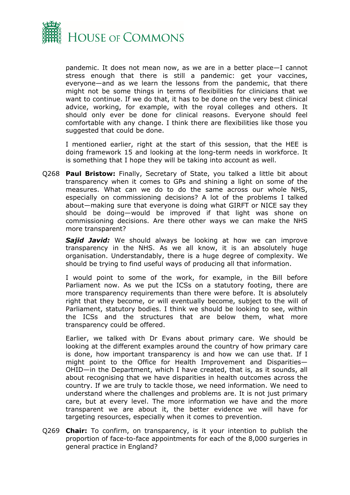

pandemic. It does not mean now, as we are in a better place—I cannot stress enough that there is still a pandemic: get your vaccines, everyone—and as we learn the lessons from the pandemic, that there might not be some things in terms of flexibilities for clinicians that we want to continue. If we do that, it has to be done on the very best clinical advice, working, for example, with the royal colleges and others. It should only ever be done for clinical reasons. Everyone should feel comfortable with any change. I think there are flexibilities like those you suggested that could be done.

I mentioned earlier, right at the start of this session, that the HEE is doing framework 15 and looking at the long-term needs in workforce. It is something that I hope they will be taking into account as well.

Q268 **Paul Bristow:** Finally, Secretary of State, you talked a little bit about transparency when it comes to GPs and shining a light on some of the measures. What can we do to do the same across our whole NHS, especially on commissioning decisions? A lot of the problems I talked about—making sure that everyone is doing what GIRFT or NICE say they should be doing—would be improved if that light was shone on commissioning decisions. Are there other ways we can make the NHS more transparent?

**Sajid Javid:** We should always be looking at how we can improve transparency in the NHS. As we all know, it is an absolutely huge organisation. Understandably, there is a huge degree of complexity. We should be trying to find useful ways of producing all that information.

I would point to some of the work, for example, in the Bill before Parliament now. As we put the ICSs on a statutory footing, there are more transparency requirements than there were before. It is absolutely right that they become, or will eventually become, subject to the will of Parliament, statutory bodies. I think we should be looking to see, within the ICSs and the structures that are below them, what more transparency could be offered.

Earlier, we talked with Dr Evans about primary care. We should be looking at the different examples around the country of how primary care is done, how important transparency is and how we can use that. If I might point to the Office for Health Improvement and Disparities— OHID—in the Department, which I have created, that is, as it sounds, all about recognising that we have disparities in health outcomes across the country. If we are truly to tackle those, we need information. We need to understand where the challenges and problems are. It is not just primary care, but at every level. The more information we have and the more transparent we are about it, the better evidence we will have for targeting resources, especially when it comes to prevention.

Q269 **Chair:** To confirm, on transparency, is it your intention to publish the proportion of face-to-face appointments for each of the 8,000 surgeries in general practice in England?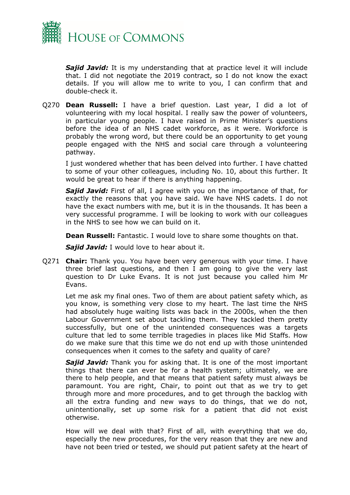

*Sajid Javid:* It is my understanding that at practice level it will include that. I did not negotiate the 2019 contract, so I do not know the exact details. If you will allow me to write to you, I can confirm that and double-check it.

Q270 **Dean Russell:** I have a brief question. Last year, I did a lot of volunteering with my local hospital. I really saw the power of volunteers, in particular young people. I have raised in Prime Minister's questions before the idea of an NHS cadet workforce, as it were. Workforce is probably the wrong word, but there could be an opportunity to get young people engaged with the NHS and social care through a volunteering pathway.

I just wondered whether that has been delved into further. I have chatted to some of your other colleagues, including No. 10, about this further. It would be great to hear if there is anything happening.

*Sajid Javid:* First of all, I agree with you on the importance of that, for exactly the reasons that you have said. We have NHS cadets. I do not have the exact numbers with me, but it is in the thousands. It has been a very successful programme. I will be looking to work with our colleagues in the NHS to see how we can build on it.

**Dean Russell:** Fantastic. I would love to share some thoughts on that.

*Sajid Javid:* I would love to hear about it.

Q271 **Chair:** Thank you. You have been very generous with your time. I have three brief last questions, and then I am going to give the very last question to Dr Luke Evans. It is not just because you called him Mr Evans.

Let me ask my final ones. Two of them are about patient safety which, as you know, is something very close to my heart. The last time the NHS had absolutely huge waiting lists was back in the 2000s, when the then Labour Government set about tackling them. They tackled them pretty successfully, but one of the unintended consequences was a targets culture that led to some terrible tragedies in places like Mid Staffs. How do we make sure that this time we do not end up with those unintended consequences when it comes to the safety and quality of care?

*Sajid Javid:* Thank you for asking that. It is one of the most important things that there can ever be for a health system; ultimately, we are there to help people, and that means that patient safety must always be paramount. You are right, Chair, to point out that as we try to get through more and more procedures, and to get through the backlog with all the extra funding and new ways to do things, that we do not, unintentionally, set up some risk for a patient that did not exist otherwise.

How will we deal with that? First of all, with everything that we do, especially the new procedures, for the very reason that they are new and have not been tried or tested, we should put patient safety at the heart of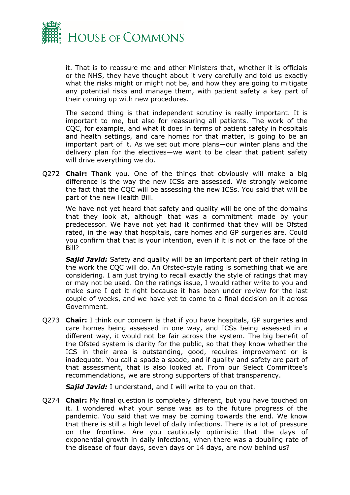

it. That is to reassure me and other Ministers that, whether it is officials or the NHS, they have thought about it very carefully and told us exactly what the risks might or might not be, and how they are going to mitigate any potential risks and manage them, with patient safety a key part of their coming up with new procedures.

The second thing is that independent scrutiny is really important. It is important to me, but also for reassuring all patients. The work of the CQC, for example, and what it does in terms of patient safety in hospitals and health settings, and care homes for that matter, is going to be an important part of it. As we set out more plans—our winter plans and the delivery plan for the electives—we want to be clear that patient safety will drive everything we do.

Q272 **Chair:** Thank you. One of the things that obviously will make a big difference is the way the new ICSs are assessed. We strongly welcome the fact that the CQC will be assessing the new ICSs. You said that will be part of the new Health Bill.

We have not yet heard that safety and quality will be one of the domains that they look at, although that was a commitment made by your predecessor. We have not yet had it confirmed that they will be Ofsted rated, in the way that hospitals, care homes and GP surgeries are. Could you confirm that that is your intention, even if it is not on the face of the Bill?

**Sajid Javid:** Safety and quality will be an important part of their rating in the work the CQC will do. An Ofsted-style rating is something that we are considering. I am just trying to recall exactly the style of ratings that may or may not be used. On the ratings issue, I would rather write to you and make sure I get it right because it has been under review for the last couple of weeks, and we have yet to come to a final decision on it across Government.

Q273 **Chair:** I think our concern is that if you have hospitals, GP surgeries and care homes being assessed in one way, and ICSs being assessed in a different way, it would not be fair across the system. The big benefit of the Ofsted system is clarity for the public, so that they know whether the ICS in their area is outstanding, good, requires improvement or is inadequate. You call a spade a spade, and if quality and safety are part of that assessment, that is also looked at. From our Select Committee's recommendations, we are strong supporters of that transparency.

*Sajid Javid:* I understand, and I will write to you on that.

Q274 **Chair:** My final question is completely different, but you have touched on it. I wondered what your sense was as to the future progress of the pandemic. You said that we may be coming towards the end. We know that there is still a high level of daily infections. There is a lot of pressure on the frontline. Are you cautiously optimistic that the days of exponential growth in daily infections, when there was a doubling rate of the disease of four days, seven days or 14 days, are now behind us?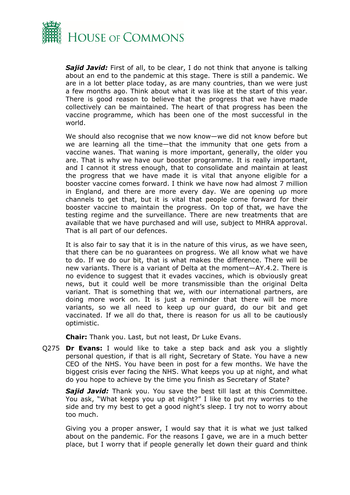

**Sajid Javid:** First of all, to be clear, I do not think that anyone is talking about an end to the pandemic at this stage. There is still a pandemic. We are in a lot better place today, as are many countries, than we were just a few months ago. Think about what it was like at the start of this year. There is good reason to believe that the progress that we have made collectively can be maintained. The heart of that progress has been the vaccine programme, which has been one of the most successful in the world.

We should also recognise that we now know—we did not know before but we are learning all the time—that the immunity that one gets from a vaccine wanes. That waning is more important, generally, the older you are. That is why we have our booster programme. It is really important, and I cannot it stress enough, that to consolidate and maintain at least the progress that we have made it is vital that anyone eligible for a booster vaccine comes forward. I think we have now had almost 7 million in England, and there are more every day. We are opening up more channels to get that, but it is vital that people come forward for their booster vaccine to maintain the progress. On top of that, we have the testing regime and the surveillance. There are new treatments that are available that we have purchased and will use, subject to MHRA approval. That is all part of our defences.

It is also fair to say that it is in the nature of this virus, as we have seen, that there can be no guarantees on progress. We all know what we have to do. If we do our bit, that is what makes the difference. There will be new variants. There is a variant of Delta at the moment—AY.4.2. There is no evidence to suggest that it evades vaccines, which is obviously great news, but it could well be more transmissible than the original Delta variant. That is something that we, with our international partners, are doing more work on. It is just a reminder that there will be more variants, so we all need to keep up our guard, do our bit and get vaccinated. If we all do that, there is reason for us all to be cautiously optimistic.

**Chair:** Thank you. Last, but not least, Dr Luke Evans.

Q275 **Dr Evans:** I would like to take a step back and ask you a slightly personal question, if that is all right, Secretary of State. You have a new CEO of the NHS. You have been in post for a few months. We have the biggest crisis ever facing the NHS. What keeps you up at night, and what do you hope to achieve by the time you finish as Secretary of State?

**Sajid Javid:** Thank you. You save the best till last at this Committee. You ask, "What keeps you up at night?" I like to put my worries to the side and try my best to get a good night's sleep. I try not to worry about too much.

Giving you a proper answer, I would say that it is what we just talked about on the pandemic. For the reasons I gave, we are in a much better place, but I worry that if people generally let down their guard and think